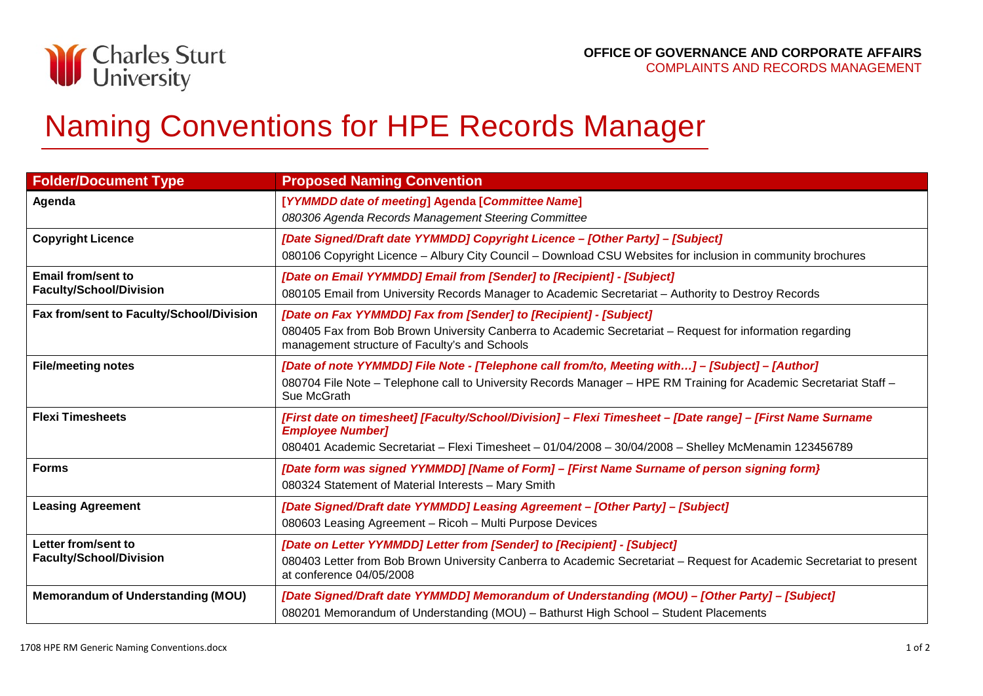

## Naming Conventions for HPE Records Manager

| <b>Folder/Document Type</b>                           | <b>Proposed Naming Convention</b>                                                                                                                                                                                                              |
|-------------------------------------------------------|------------------------------------------------------------------------------------------------------------------------------------------------------------------------------------------------------------------------------------------------|
| Agenda                                                | [YYMMDD date of meeting] Agenda [Committee Name]<br>080306 Agenda Records Management Steering Committee                                                                                                                                        |
| <b>Copyright Licence</b>                              | [Date Signed/Draft date YYMMDD] Copyright Licence - [Other Party] - [Subject]<br>080106 Copyright Licence - Albury City Council - Download CSU Websites for inclusion in community brochures                                                   |
| Email from/sent to<br><b>Faculty/School/Division</b>  | [Date on Email YYMMDD] Email from [Sender] to [Recipient] - [Subject]<br>080105 Email from University Records Manager to Academic Secretariat - Authority to Destroy Records                                                                   |
| Fax from/sent to Faculty/School/Division              | [Date on Fax YYMMDD] Fax from [Sender] to [Recipient] - [Subject]<br>080405 Fax from Bob Brown University Canberra to Academic Secretariat - Request for information regarding<br>management structure of Faculty's and Schools                |
| <b>File/meeting notes</b>                             | [Date of note YYMMDD] File Note - [Telephone call from/to, Meeting with] - [Subject] - [Author]<br>080704 File Note - Telephone call to University Records Manager - HPE RM Training for Academic Secretariat Staff -<br>Sue McGrath           |
| <b>Flexi Timesheets</b>                               | [First date on timesheet] [Faculty/School/Division] - Flexi Timesheet - [Date range] - [First Name Surname<br><b>Employee Number]</b><br>080401 Academic Secretariat - Flexi Timesheet - 01/04/2008 - 30/04/2008 - Shelley McMenamin 123456789 |
| <b>Forms</b>                                          | [Date form was signed YYMMDD] [Name of Form] – [First Name Surname of person signing form}<br>080324 Statement of Material Interests - Mary Smith                                                                                              |
| <b>Leasing Agreement</b>                              | [Date Signed/Draft date YYMMDD] Leasing Agreement - [Other Party] - [Subject]<br>080603 Leasing Agreement - Ricoh - Multi Purpose Devices                                                                                                      |
| Letter from/sent to<br><b>Faculty/School/Division</b> | [Date on Letter YYMMDD] Letter from [Sender] to [Recipient] - [Subject]<br>080403 Letter from Bob Brown University Canberra to Academic Secretariat - Request for Academic Secretariat to present<br>at conference 04/05/2008                  |
| <b>Memorandum of Understanding (MOU)</b>              | [Date Signed/Draft date YYMMDD] Memorandum of Understanding (MOU) - [Other Party] - [Subject]<br>080201 Memorandum of Understanding (MOU) - Bathurst High School - Student Placements                                                          |